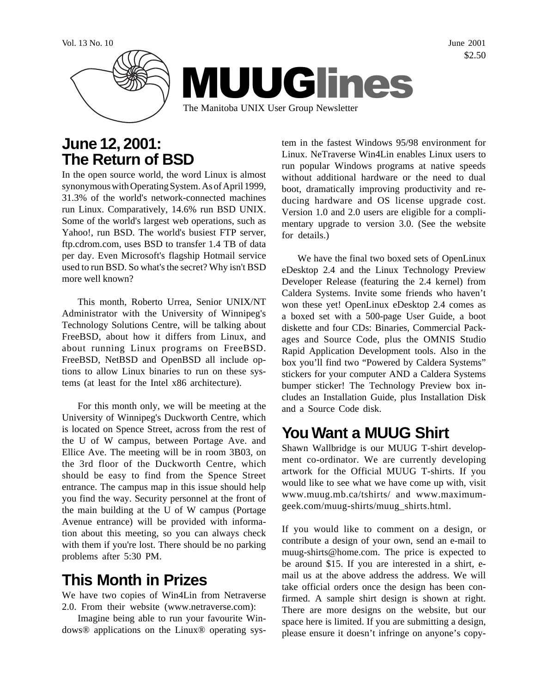

### **June 12, 2001: The Return of BSD**

In the open source world, the word Linux is almost synonymous with Operating System. As of April 1999, 31.3% of the world's network-connected machines run Linux. Comparatively, 14.6% run BSD UNIX. Some of the world's largest web operations, such as Yahoo!, run BSD. The world's busiest FTP server, ftp.cdrom.com, uses BSD to transfer 1.4 TB of data per day. Even Microsoft's flagship Hotmail service used to run BSD. So what's the secret? Why isn't BSD more well known?

This month, Roberto Urrea, Senior UNIX/NT Administrator with the University of Winnipeg's Technology Solutions Centre, will be talking about FreeBSD, about how it differs from Linux, and about running Linux programs on FreeBSD. FreeBSD, NetBSD and OpenBSD all include options to allow Linux binaries to run on these systems (at least for the Intel x86 architecture).

For this month only, we will be meeting at the University of Winnipeg's Duckworth Centre, which is located on Spence Street, across from the rest of the U of W campus, between Portage Ave. and Ellice Ave. The meeting will be in room 3B03, on the 3rd floor of the Duckworth Centre, which should be easy to find from the Spence Street entrance. The campus map in this issue should help you find the way. Security personnel at the front of the main building at the U of W campus (Portage Avenue entrance) will be provided with information about this meeting, so you can always check with them if you're lost. There should be no parking problems after 5:30 PM.

# **This Month in Prizes**

We have two copies of Win4Lin from Netraverse 2.0. From their website (www.netraverse.com):

Imagine being able to run your favourite Windows® applications on the Linux® operating sys-

tem in the fastest Windows 95/98 environment for Linux. NeTraverse Win4Lin enables Linux users to run popular Windows programs at native speeds without additional hardware or the need to dual boot, dramatically improving productivity and reducing hardware and OS license upgrade cost. Version 1.0 and 2.0 users are eligible for a complimentary upgrade to version 3.0. (See the website for details.)

We have the final two boxed sets of OpenLinux eDesktop 2.4 and the Linux Technology Preview Developer Release (featuring the 2.4 kernel) from Caldera Systems. Invite some friends who haven't won these yet! OpenLinux eDesktop 2.4 comes as a boxed set with a 500-page User Guide, a boot diskette and four CDs: Binaries, Commercial Packages and Source Code, plus the OMNIS Studio Rapid Application Development tools. Also in the box you'll find two "Powered by Caldera Systems" stickers for your computer AND a Caldera Systems bumper sticker! The Technology Preview box includes an Installation Guide, plus Installation Disk and a Source Code disk.

## **You Want a MUUG Shirt**

Shawn Wallbridge is our MUUG T-shirt development co-ordinator. We are currently developing artwork for the Official MUUG T-shirts. If you would like to see what we have come up with, visit www.muug.mb.ca/tshirts/ and www.maximumgeek.com/muug-shirts/muug\_shirts.html.

If you would like to comment on a design, or contribute a design of your own, send an e-mail to muug-shirts@home.com. The price is expected to be around \$15. If you are interested in a shirt, email us at the above address the address. We will take official orders once the design has been confirmed. A sample shirt design is shown at right. There are more designs on the website, but our space here is limited. If you are submitting a design, please ensure it doesn't infringe on anyone's copy-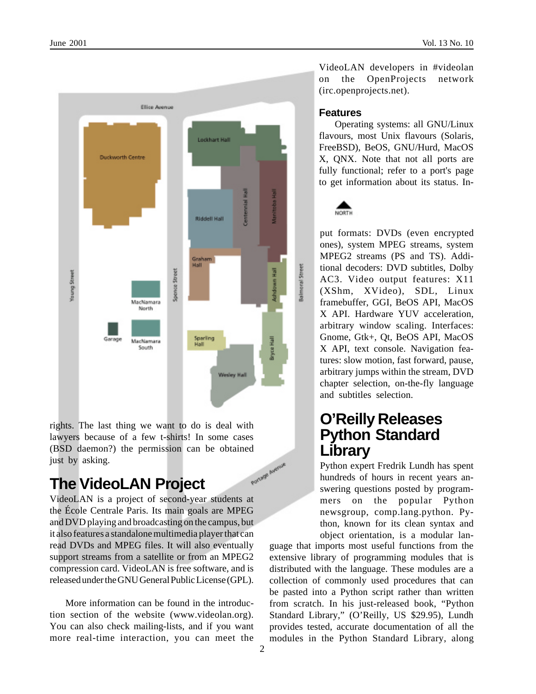

rights. The last thing we want to do is deal with lawyers because of a few t-shirts! In some cases (BSD daemon?) the permission can be obtained just by asking. Portage Avenue

## **The VideoLAN Project**

VideoLAN is a project of second-year students at the École Centrale Paris. Its main goals are MPEG and DVD playing and broadcasting on the campus, but it also features a standalone multimedia player that can read DVDs and MPEG files. It will also eventually support streams from a satellite or from an MPEG2 compression card. VideoLAN is free software, and is released under the GNU General Public License (GPL).

More information can be found in the introduction section of the website (www.videolan.org). You can also check mailing-lists, and if you want more real-time interaction, you can meet the

VideoLAN developers in #videolan on the OpenProjects network (irc.openprojects.net).

#### **Features**

Operating systems: all GNU/Linux flavours, most Unix flavours (Solaris, FreeBSD), BeOS, GNU/Hurd, MacOS X, QNX. Note that not all ports are fully functional; refer to a port's page to get information about its status. In-



put formats: DVDs (even encrypted ones), system MPEG streams, system MPEG2 streams (PS and TS). Additional decoders: DVD subtitles, Dolby AC3. Video output features: X11 (XShm, XVideo), SDL, Linux framebuffer, GGI, BeOS API, MacOS X API. Hardware YUV acceleration, arbitrary window scaling. Interfaces: Gnome, Gtk+, Qt, BeOS API, MacOS X API, text console. Navigation features: slow motion, fast forward, pause, arbitrary jumps within the stream, DVD chapter selection, on-the-fly language and subtitles selection.

### **O'Reilly Releases Python Standard Library**

Python expert Fredrik Lundh has spent hundreds of hours in recent years answering questions posted by programmers on the popular Python newsgroup, comp.lang.python. Python, known for its clean syntax and object orientation, is a modular lan-

guage that imports most useful functions from the extensive library of programming modules that is distributed with the language. These modules are a collection of commonly used procedures that can be pasted into a Python script rather than written from scratch. In his just-released book, "Python Standard Library," (O'Reilly, US \$29.95), Lundh provides tested, accurate documentation of all the modules in the Python Standard Library, along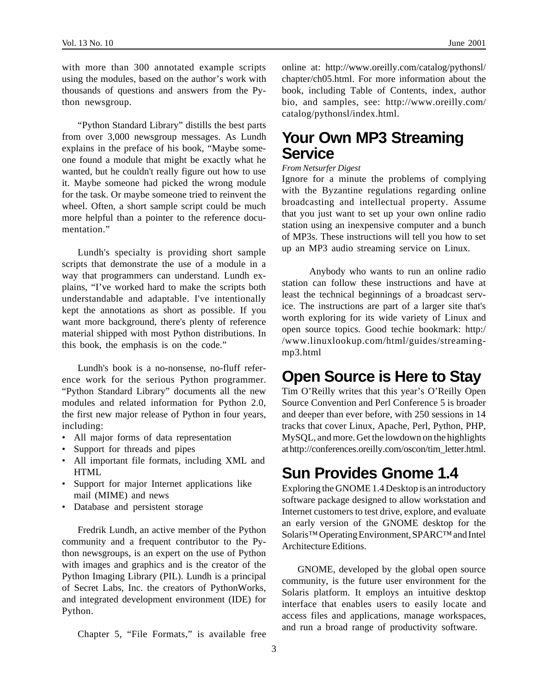with more than 300 annotated example scripts using the modules, based on the author's work with thousands of questions and answers from the Python newsgroup.

"Python Standard Library" distills the best parts from over 3,000 newsgroup messages. As Lundh explains in the preface of his book, "Maybe someone found a module that might be exactly what he wanted, but he couldn't really figure out how to use it. Maybe someone had picked the wrong module for the task. Or maybe someone tried to reinvent the wheel. Often, a short sample script could be much more helpful than a pointer to the reference documentation."

Lundh's specialty is providing short sample scripts that demonstrate the use of a module in a way that programmers can understand. Lundh explains, "I've worked hard to make the scripts both understandable and adaptable. I've intentionally kept the annotations as short as possible. If you want more background, there's plenty of reference material shipped with most Python distributions. In this book, the emphasis is on the code."

Lundh's book is a no-nonsense, no-fluff reference work for the serious Python programmer. "Python Standard Library" documents all the new modules and related information for Python 2.0, the first new major release of Python in four years, including:

- All major forms of data representation
- Support for threads and pipes
- All important file formats, including XML and HTML
- Support for major Internet applications like mail (MIME) and news
- Database and persistent storage

Fredrik Lundh, an active member of the Python community and a frequent contributor to the Python newsgroups, is an expert on the use of Python with images and graphics and is the creator of the Python Imaging Library (PIL). Lundh is a principal of Secret Labs, Inc. the creators of PythonWorks, and integrated development environment (IDE) for Python.

Chapter 5, "File Formats," is available free

online at: http://www.oreilly.com/catalog/pythonsl/ chapter/ch05.html. For more information about the book, including Table of Contents, index, author bio, and samples, see: http://www.oreilly.com/ catalog/pythonsl/index.html.

#### **Your Own MP3 Streaming Service**

#### *From Netsurfer Digest*

Ignore for a minute the problems of complying with the Byzantine regulations regarding online broadcasting and intellectual property. Assume that you just want to set up your own online radio station using an inexpensive computer and a bunch of MP3s. These instructions will tell you how to set up an MP3 audio streaming service on Linux.

 Anybody who wants to run an online radio station can follow these instructions and have at least the technical beginnings of a broadcast service. The instructions are part of a larger site that's worth exploring for its wide variety of Linux and open source topics. Good techie bookmark: http:/ /www.linuxlookup.com/html/guides/streamingmp3.html

### **Open Source is Here to Stay**

Tim O'Reilly writes that this year's O'Reilly Open Source Convention and Perl Conference 5 is broader and deeper than ever before, with 250 sessions in 14 tracks that cover Linux, Apache, Perl, Python, PHP, MySQL, and more. Get the lowdown on the highlights at http://conferences.oreilly.com/oscon/tim\_letter.html.

## **Sun Provides Gnome 1.4**

Exploring the GNOME 1.4 Desktop is an introductory software package designed to allow workstation and Internet customers to test drive, explore, and evaluate an early version of the GNOME desktop for the Solaris<sup>™</sup> Operating Environment, SPARC™ and Intel Architecture Editions.

GNOME, developed by the global open source community, is the future user environment for the Solaris platform. It employs an intuitive desktop interface that enables users to easily locate and access files and applications, manage workspaces, and run a broad range of productivity software.